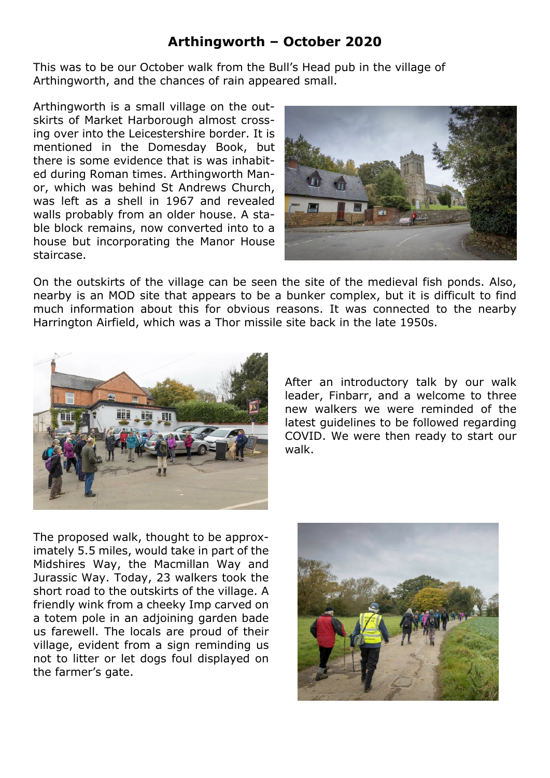## **Arthingworth – October 2020**

This was to be our October walk from the Bull's Head pub in the village of Arthingworth, and the chances of rain appeared small.

Arthingworth is a small village on the outskirts of Market Harborough almost crossing over into the Leicestershire border. It is mentioned in the Domesday Book, but there is some evidence that is was inhabited during Roman times. Arthingworth Manor, which was behind St Andrews Church, was left as a shell in 1967 and revealed walls probably from an older house. A stable block remains, now converted into to a house but incorporating the Manor House staircase.



On the outskirts of the village can be seen the site of the medieval fish ponds. Also, nearby is an MOD site that appears to be a bunker complex, but it is difficult to find much information about this for obvious reasons. It was connected to the nearby Harrington Airfield, which was a Thor missile site back in the late 1950s.



After an introductory talk by our walk leader, Finbarr, and a welcome to three new walkers we were reminded of the latest guidelines to be followed regarding COVID. We were then ready to start our walk.

The proposed walk, thought to be approximately 5.5 miles, would take in part of the Midshires Way, the Macmillan Way and Jurassic Way. Today, 23 walkers took the short road to the outskirts of the village. A friendly wink from a cheeky Imp carved on a totem pole in an adjoining garden bade us farewell. The locals are proud of their village, evident from a sign reminding us not to litter or let dogs foul displayed on the farmer's gate.

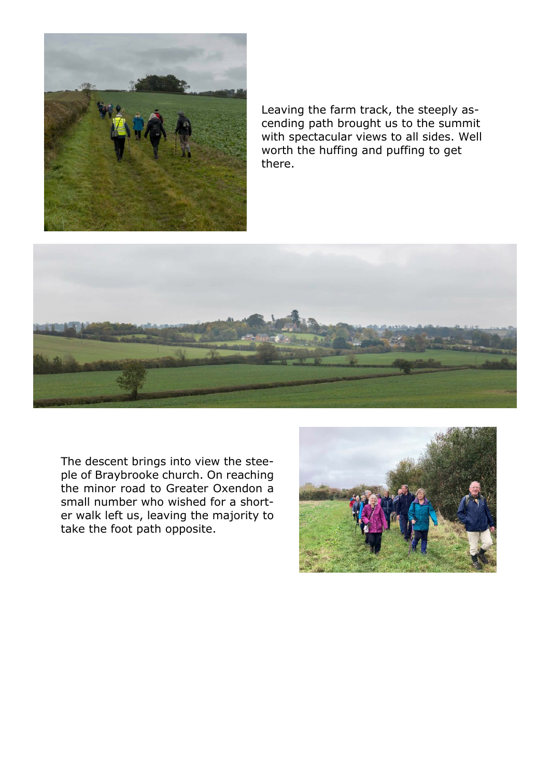

Leaving the farm track, the steeply ascending path brought us to the summit with spectacular views to all sides. Well worth the huffing and puffing to get there.



The descent brings into view the steeple of Braybrooke church. On reaching the minor road to Greater Oxendon a small number who wished for a shorter walk left us, leaving the majority to take the foot path opposite.

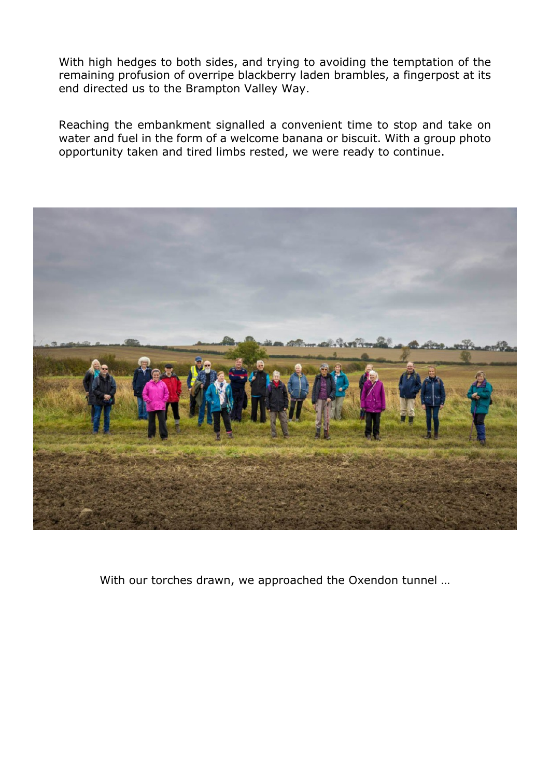With high hedges to both sides, and trying to avoiding the temptation of the remaining profusion of overripe blackberry laden brambles, a fingerpost at its end directed us to the Brampton Valley Way.

Reaching the embankment signalled a convenient time to stop and take on water and fuel in the form of a welcome banana or biscuit. With a group photo opportunity taken and tired limbs rested, we were ready to continue.



With our torches drawn, we approached the Oxendon tunnel …